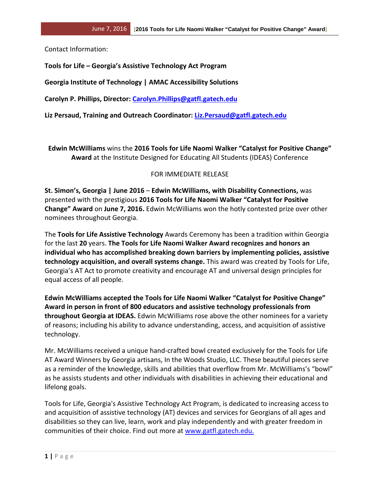Contact Information:

**Tools for Life – Georgia's Assistive Technology Act Program**

**Georgia Institute of Technology | AMAC Accessibility Solutions** 

**Carolyn P. Phillips, Director: [Carolyn.Phillips@gatfl.gatech.edu](mailto:Carolyn.Phillips@gatfl.gatech.edu)**

**Liz Persaud, Training and Outreach Coordinator: [Liz.Persaud@gatfl.gatech.edu](mailto:Liz.Persaud@gatfl.gatech.edu)**

**Edwin McWilliams** wins the **2016 Tools for Life Naomi Walker "Catalyst for Positive Change" Award** at the Institute Designed for Educating All Students (IDEAS) Conference

## FOR IMMEDIATE RELEASE

**St. Simon's, Georgia | June 2016** – **Edwin McWilliams, with Disability Connections,** was presented with the prestigious **2016 Tools for Life Naomi Walker "Catalyst for Positive Change" Award** on **June 7, 2016.** Edwin McWilliams won the hotly contested prize over other nominees throughout Georgia.

The **Tools for Life Assistive Technology** Awards Ceremony has been a tradition within Georgia for the last **20** years. **The Tools for Life Naomi Walker Award recognizes and honors an individual who has accomplished breaking down barriers by implementing policies, assistive technology acquisition, and overall systems change.** This award was created by Tools for Life, Georgia's AT Act to promote creativity and encourage AT and universal design principles for equal access of all people.

**Edwin McWilliams accepted the Tools for Life Naomi Walker "Catalyst for Positive Change" Award in person in front of 800 educators and assistive technology professionals from throughout Georgia at IDEAS.** Edwin McWilliams rose above the other nominees for a variety of reasons; including his ability to advance understanding, access, and acquisition of assistive technology.

Mr. McWilliams received a unique hand-crafted bowl created exclusively for the Tools for Life AT Award Winners by Georgia artisans, In the Woods Studio, LLC. These beautiful pieces serve as a reminder of the knowledge, skills and abilities that overflow from Mr. McWilliams's "bowl" as he assists students and other individuals with disabilities in achieving their educational and lifelong goals.

Tools for Life, Georgia's Assistive Technology Act Program, is dedicated to increasing access to and acquisition of assistive technology (AT) devices and services for Georgians of all ages and disabilities so they can live, learn, work and play independently and with greater freedom in communities of their choice. Find out more at [www.gatfl.gatech.edu.](http://www.gatfl.gatech.edu/)